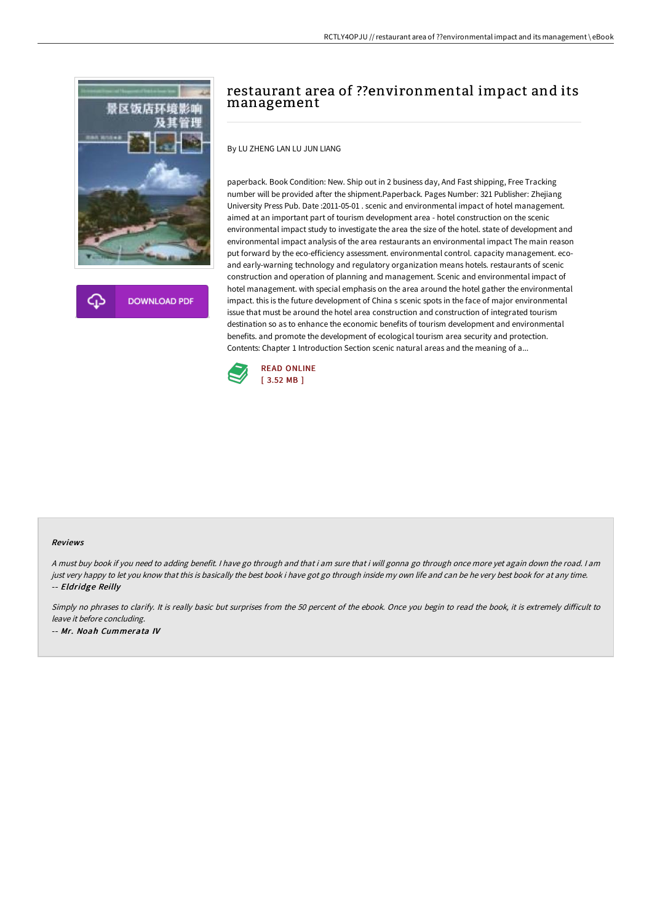

**DOWNLOAD PDF** 

# restaurant area of ??environmental impact and its management

By LU ZHENG LAN LU JUN LIANG

paperback. Book Condition: New. Ship out in 2 business day, And Fast shipping, Free Tracking number will be provided after the shipment.Paperback. Pages Number: 321 Publisher: Zhejiang University Press Pub. Date :2011-05-01 . scenic and environmental impact of hotel management. aimed at an important part of tourism development area - hotel construction on the scenic environmental impact study to investigate the area the size of the hotel. state of development and environmental impact analysis of the area restaurants an environmental impact The main reason put forward by the eco-efficiency assessment. environmental control. capacity management. ecoand early-warning technology and regulatory organization means hotels. restaurants of scenic construction and operation of planning and management. Scenic and environmental impact of hotel management. with special emphasis on the area around the hotel gather the environmental impact. this is the future development of China s scenic spots in the face of major environmental issue that must be around the hotel area construction and construction of integrated tourism destination so as to enhance the economic benefits of tourism development and environmental benefits. and promote the development of ecological tourism area security and protection. Contents: Chapter 1 Introduction Section scenic natural areas and the meaning of a...



#### Reviews

<sup>A</sup> must buy book if you need to adding benefit. <sup>I</sup> have go through and that i am sure that i will gonna go through once more yet again down the road. <sup>I</sup> am just very happy to let you know that this is basically the best book i have got go through inside my own life and can be he very best book for at any time. -- Eldridge Reilly

Simply no phrases to clarify. It is really basic but surprises from the 50 percent of the ebook. Once you begin to read the book, it is extremely difficult to leave it before concluding. -- Mr. Noah Cummerata IV